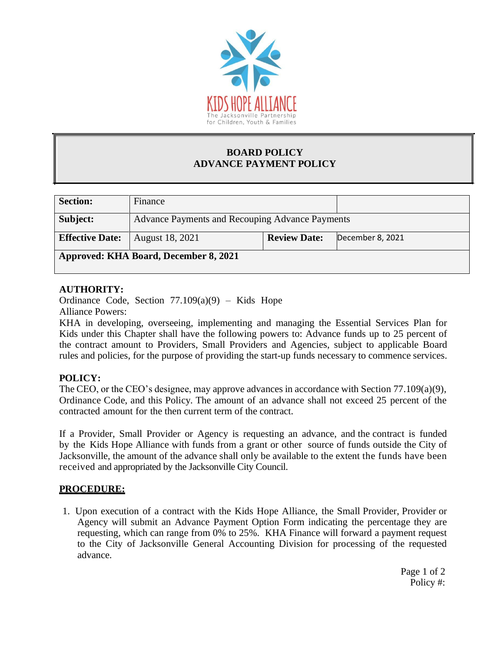

### **BOARD POLICY ADVANCE PAYMENT POLICY**

| <b>Section:</b>                              | Finance                                         |                     |                  |
|----------------------------------------------|-------------------------------------------------|---------------------|------------------|
| Subject:                                     | Advance Payments and Recouping Advance Payments |                     |                  |
| <b>Effective Date:</b>                       | August 18, 2021                                 | <b>Review Date:</b> | December 8, 2021 |
| <b>Approved: KHA Board, December 8, 2021</b> |                                                 |                     |                  |

## **AUTHORITY:**

Ordinance Code, Section  $77.109(a)(9)$  – Kids Hope Alliance Powers:

KHA in developing, overseeing, implementing and managing the Essential Services Plan for Kids under this Chapter shall have the following powers to: Advance funds up to 25 percent of the contract amount to Providers, Small Providers and Agencies, subject to applicable Board rules and policies, for the purpose of providing the start-up funds necessary to commence services.

# **POLICY:**

The CEO, or the CEO's designee, may approve advances in accordance with Section 77.109(a)(9), Ordinance Code, and this Policy. The amount of an advance shall not exceed 25 percent of the contracted amount for the then current term of the contract.

If a Provider, Small Provider or Agency is requesting an advance, and the contract is funded by the Kids Hope Alliance with funds from a grant or other source of funds outside the City of Jacksonville, the amount of the advance shall only be available to the extent the funds have been received and appropriated by the Jacksonville City Council.

## **PROCEDURE:**

1. Upon execution of a contract with the Kids Hope Alliance, the Small Provider, Provider or Agency will submit an Advance Payment Option Form indicating the percentage they are requesting, which can range from 0% to 25%. KHA Finance will forward a payment request to the City of Jacksonville General Accounting Division for processing of the requested advance.

> Page 1 of 2 Policy #: